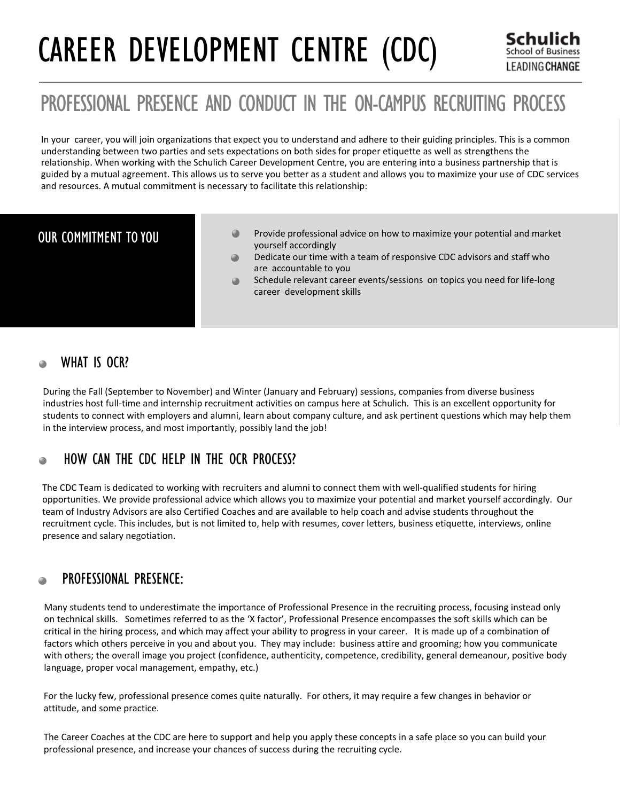# CAREER DEVELOPMENT CENTRE (CDC)

# PROFESSIONAL PRESENCE AND CONDUCT IN THE ON-CAMPUS RECRUITING PROCESS

In your career, you will join organizations that expect you to understand and adhere to their guiding principles. This is a common understanding between two parties and sets expectations on both sides for proper etiquette as well as strengthens the relationship. When working with the Schulich Career Development Centre, you are entering into a business partnership that is guided by a mutual agreement. This allows us to serve you better as a student and allows you to maximize your use of CDC services and resources. A mutual commitment is necessary to facilitate this relationship:

# OUR COMMITMENT TO YOU

- Provide professional advice on how to maximize your potential and market yourself accordingly
- Dedicate our time with a team of responsive CDC advisors and staff who are accountable to you
- Schedule relevant career events/sessions on topics you need for life-long career development skills

# WHAT IS OCR? ≘

During the Fall (September to November) and Winter (January and February) sessions, companies from diverse business industries host full-time and internship recruitment activities on campus here at Schulich. This is an excellent opportunity for students to connect with employers and alumni, learn about company culture, and ask pertinent questions which may help them in the interview process, and most importantly, possibly land the job!

# HOW CAN THE CDC HELP IN THE OCR PROCESS? ≘

The CDC Team is dedicated to working with recruiters and alumni to connect them with well-qualified students for hiring opportunities. We provide professional advice which allows you to maximize your potential and market yourself accordingly. Our team of Industry Advisors are also Certified Coaches and are available to help coach and advise students throughout the recruitment cycle. This includes, but is not limited to, help with resumes, cover letters, business etiquette, interviews, online presence and salary negotiation.

# PROFESSIONAL PRESENCE: ≘

Many students tend to underestimate the importance of Professional Presence in the recruiting process, focusing instead only on technical skills. Sometimes referred to as the 'X factor', Professional Presence encompasses the soft skills which can be critical in the hiring process, and which may affect your ability to progress in your career. It is made up of a combination of factors which others perceive in you and about you. They may include: business attire and grooming; how you communicate with others; the overall image you project (confidence, authenticity, competence, credibility, general demeanour, positive body language, proper vocal management, empathy, etc.)

For the lucky few, professional presence comes quite naturally. For others, it may require a few changes in behavior or attitude, and some practice.

The Career Coaches at the CDC are here to support and help you apply these concepts in a safe place so you can build your professional presence, and increase your chances of success during the recruiting cycle.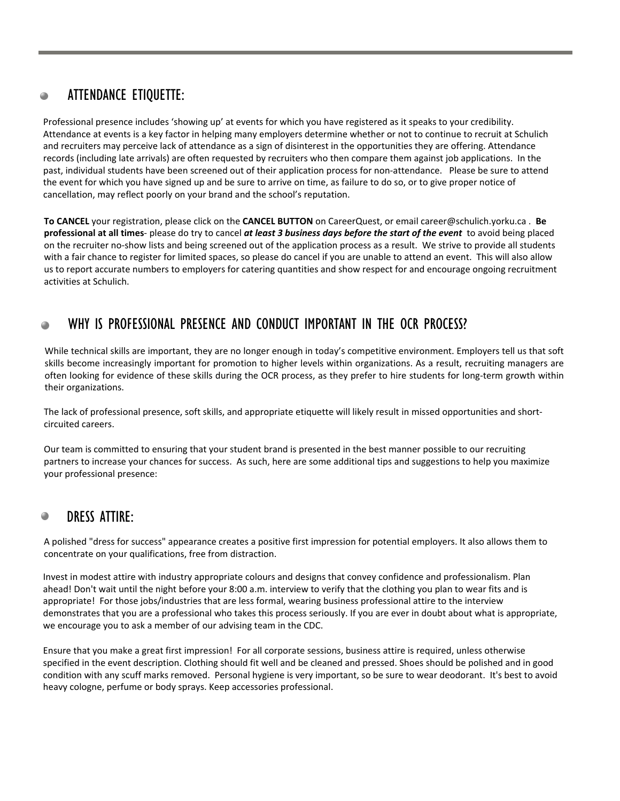# ATTENDANCE ETIQUETTE: 0

Professional presence includes 'showing up' at events for which you have registered as it speaks to your credibility. Attendance at events is a key factor in helping many employers determine whether or not to continue to recruit at Schulich and recruiters may perceive lack of attendance as a sign of disinterest in the opportunities they are offering. Attendance records (including late arrivals) are often requested by recruiters who then compare them against job applications. In the past, individual students have been screened out of their application process for non-attendance. Please be sure to attend the event for which you have signed up and be sure to arrive on time, as failure to do so, or to give proper notice of cancellation, may reflect poorly on your brand and the school's reputation.

**To CANCEL** your registration, please click on the **CANCEL BUTTON** on CareerQuest, or email career@schulich.yorku.ca . **Be professional at all times**- please do try to cancel *at least 3 business days before the start of the event* to avoid being placed on the recruiter no-show lists and being screened out of the application process as a result. We strive to provide all students with a fair chance to register for limited spaces, so please do cancel if you are unable to attend an event. This will also allow us to report accurate numbers to employers for catering quantities and show respect for and encourage ongoing recruitment activities at Schulich.

# WHY IS PROFESSIONAL PRESENCE AND CONDUCT IMPORTANT IN THE OCR PROCESS?  $\bullet$

While technical skills are important, they are no longer enough in today's competitive environment. Employers tell us that soft skills become increasingly important for promotion to higher levels within organizations. As a result, recruiting managers are often looking for evidence of these skills during the OCR process, as they prefer to hire students for long-term growth within their organizations.

The lack of professional presence, soft skills, and appropriate etiquette will likely result in missed opportunities and shortcircuited careers.

Our team is committed to ensuring that your student brand is presented in the best manner possible to our recruiting partners to increase your chances for success. As such, here are some additional tips and suggestions to help you maximize your professional presence:

#### DRESS ATTIRE:  $\bullet$

A polished "dress for success" appearance creates a positive first impression for potential employers. It also allows them to concentrate on your qualifications, free from distraction.

Invest in modest attire with industry appropriate colours and designs that convey confidence and professionalism. Plan ahead! Don't wait until the night before your 8:00 a.m. interview to verify that the clothing you plan to wear fits and is appropriate! For those jobs/industries that are less formal, wearing business professional attire to the interview demonstrates that you are a professional who takes this process seriously. If you are ever in doubt about what is appropriate, we encourage you to ask a member of our advising team in the CDC.

Ensure that you make a great first impression! For all corporate sessions, business attire is required, unless otherwise specified in the event description. Clothing should fit well and be cleaned and pressed. Shoes should be polished and in good condition with any scuff marks removed. Personal hygiene is very important, so be sure to wear deodorant. It's best to avoid heavy cologne, perfume or body sprays. Keep accessories professional.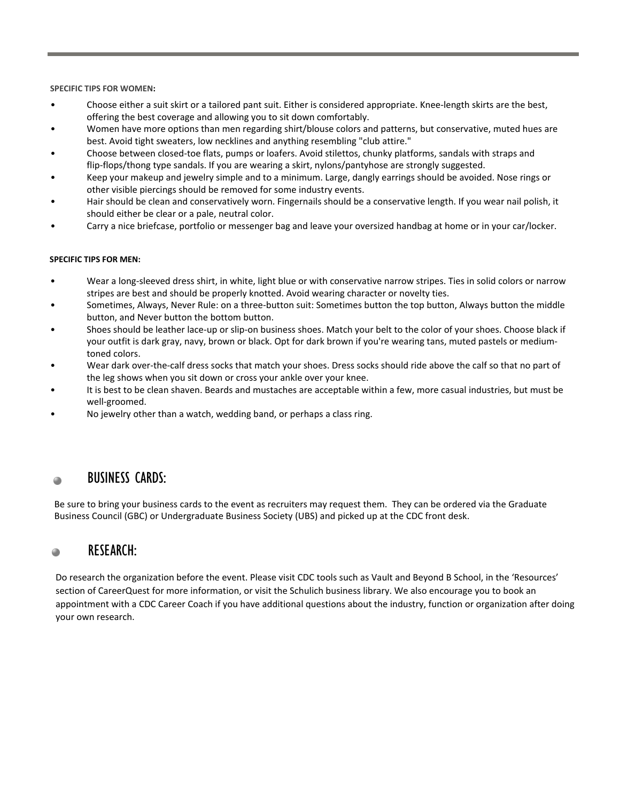**SPECIFIC TIPS FOR WOMEN:**

- Choose either a suit skirt or a tailored pant suit. Either is considered appropriate. Knee-length skirts are the best, offering the best coverage and allowing you to sit down comfortably.
- Women have more options than men regarding shirt/blouse colors and patterns, but conservative, muted hues are best. Avoid tight sweaters, low necklines and anything resembling "club attire."
- Choose between closed-toe flats, pumps or loafers. Avoid stilettos, chunky platforms, sandals with straps and flip-flops/thong type sandals. If you are wearing a skirt, nylons/pantyhose are strongly suggested.
- Keep your makeup and jewelry simple and to a minimum. Large, dangly earrings should be avoided. Nose rings or other visible piercings should be removed for some industry events.
- Hair should be clean and conservatively worn. Fingernails should be a conservative length. If you wear nail polish, it should either be clear or a pale, neutral color.
- Carry a nice briefcase, portfolio or messenger bag and leave your oversized handbag at home or in your car/locker.

# **SPECIFIC TIPS FOR MEN:**

- Wear a long-sleeved dress shirt, in white, light blue or with conservative narrow stripes. Ties in solid colors or narrow stripes are best and should be properly knotted. Avoid wearing character or novelty ties.
- Sometimes, Always, Never Rule: on a three-button suit: Sometimes button the top button, Always button the middle button, and Never button the bottom button.
- Shoes should be leather lace-up or slip-on business shoes. Match your belt to the color of your shoes. Choose black if your outfit is dark gray, navy, brown or black. Opt for dark brown if you're wearing tans, muted pastels or medium toned colors.
- Wear dark over-the-calf dress socks that match your shoes. Dress socks should ride above the calf so that no part of the leg shows when you sit down or cross your ankle over your knee.
- It is best to be clean shaven. Beards and mustaches are acceptable within a few, more casual industries, but must be well-groomed.
- No jewelry other than a watch, wedding band, or perhaps a class ring.

#### BUSINESS CARDS:  $\bullet$

Be sure to bring your business cards to the event as recruiters may request them. They can be ordered via the Graduate Business Council (GBC) or Undergraduate Business Society (UBS) and picked up at the CDC front desk.

#### RESEARCH:  $\bullet$

Do research the organization before the event. Please visit CDC tools such as Vault and Beyond B School, in the 'Resources' section of CareerQuest for more information, or visit the Schulich business library. We also encourage you to book an appointment with a CDC Career Coach if you have additional questions about the industry, function or organization after doing your own research.